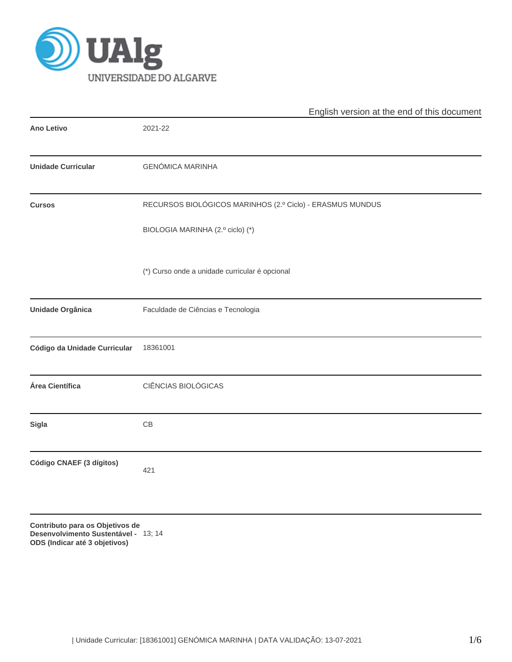

|                              | English version at the end of this document               |
|------------------------------|-----------------------------------------------------------|
| <b>Ano Letivo</b>            | 2021-22                                                   |
| <b>Unidade Curricular</b>    | <b>GENÓMICA MARINHA</b>                                   |
| <b>Cursos</b>                | RECURSOS BIOLÓGICOS MARINHOS (2.º Ciclo) - ERASMUS MUNDUS |
|                              | BIOLOGIA MARINHA (2.º ciclo) (*)                          |
|                              | (*) Curso onde a unidade curricular é opcional            |
| Unidade Orgânica             | Faculdade de Ciências e Tecnologia                        |
| Código da Unidade Curricular | 18361001                                                  |
| Área Científica              | CIÊNCIAS BIOLÓGICAS                                       |
| <b>Sigla</b>                 | CB                                                        |
| Código CNAEF (3 dígitos)     | 421                                                       |
|                              |                                                           |

**Contributo para os Objetivos de Desenvolvimento Sustentável -** 13; 14**ODS (Indicar até 3 objetivos)**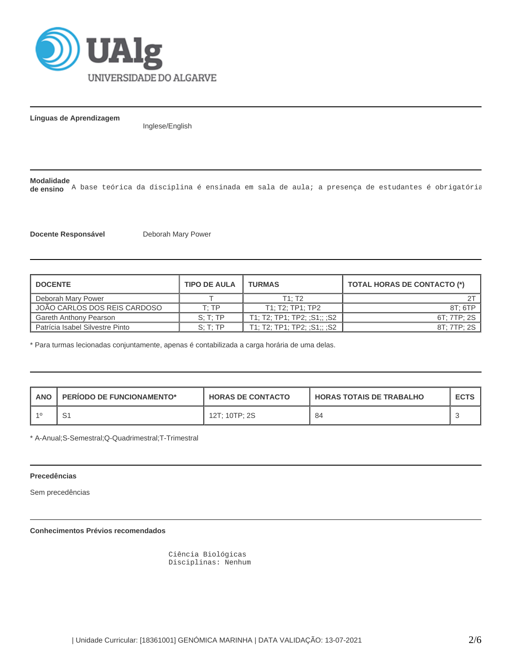

**Línguas de Aprendizagem**

Inglese/English

### **Modalidade**

de ensino<sup>7</sup> A base teórica da disciplina é ensinada em sala de aula; a presença de estudantes é obrigatória

**Docente Responsável** Deborah Mary Power

| <b>I DOCENTE</b>                | <b>TIPO DE AULA</b> | <b>TURMAS</b>               | <b>TOTAL HORAS DE CONTACTO (*)</b> |  |  |
|---------------------------------|---------------------|-----------------------------|------------------------------------|--|--|
| Deborah Mary Power              |                     | T1: T2                      |                                    |  |  |
| JOÃO CARLOS DOS REIS CARDOSO    | T:TP                | T1: T2: TP1: TP2            | 8T: 6TP                            |  |  |
| Gareth Anthony Pearson          | S: T: TP            | T1; T2; TP1; TP2; :S1;; :S2 | 6T: 7TP: 2S                        |  |  |
| Patrícia Isabel Silvestre Pinto | S: T: TP            | T1: T2: TP1: TP2: :S1:: :S2 | 8T: 7TP: 2S                        |  |  |

\* Para turmas lecionadas conjuntamente, apenas é contabilizada a carga horária de uma delas.

| ANO | <b>PERIODO DE FUNCIONAMENTO*</b> | <b>HORAS DE CONTACTO</b> | <b>HORAS TOTAIS DE TRABALHO</b> | <b>ECTS</b> |
|-----|----------------------------------|--------------------------|---------------------------------|-------------|
|     |                                  | 12T; 10TP; 2S            | -84                             |             |

\* A-Anual;S-Semestral;Q-Quadrimestral;T-Trimestral

#### **Precedências**

Sem precedências

**Conhecimentos Prévios recomendados**

 Ciência Biológicas Disciplinas: Nenhum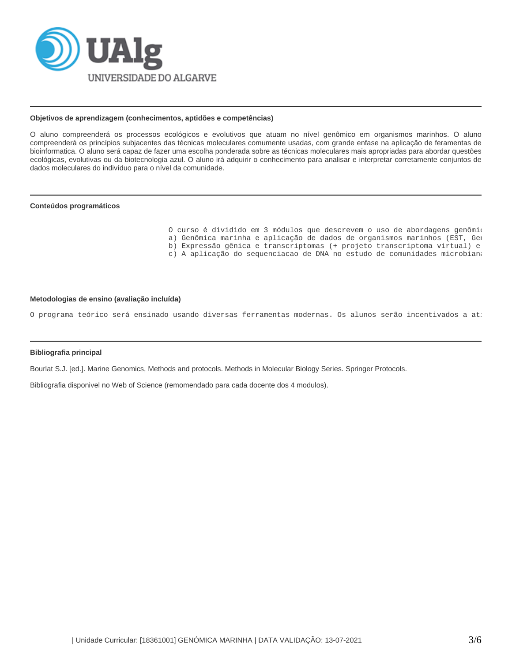

## **Objetivos de aprendizagem (conhecimentos, aptidões e competências)**

O aluno compreenderá os processos ecológicos e evolutivos que atuam no nível genômico em organismos marinhos. O aluno compreenderá os princípios subjacentes das técnicas moleculares comumente usadas, com grande enfase na aplicação de feramentas de bioinformatica. O aluno será capaz de fazer uma escolha ponderada sobre as técnicas moleculares mais apropriadas para abordar questões ecológicas, evolutivas ou da biotecnologia azul. O aluno irá adquirir o conhecimento para analisar e interpretar corretamente conjuntos de dados moleculares do indivíduo para o nível da comunidade.

## **Conteúdos programáticos**

| O curso é dividido em 3 módulos que descrevem o uso de abordagens genômio |
|---------------------------------------------------------------------------|
| a) Genômica marinha e aplicação de dados de organismos marinhos (EST, Gel |
| b) Expressão gênica e transcriptomas (+ projeto transcriptoma virtual) e  |
| c) A aplicação do sequenciacao de DNA no estudo de comunidades microbiana |

# **Metodologias de ensino (avaliação incluída)**

O programa teórico será ensinado usando diversas ferramentas modernas. Os alunos serão incentivados a at:

#### **Bibliografia principal**

Bourlat S.J. [ed.]. Marine Genomics, Methods and protocols. Methods in Molecular Biology Series. Springer Protocols.

Bibliografia disponivel no Web of Science (remomendado para cada docente dos 4 modulos).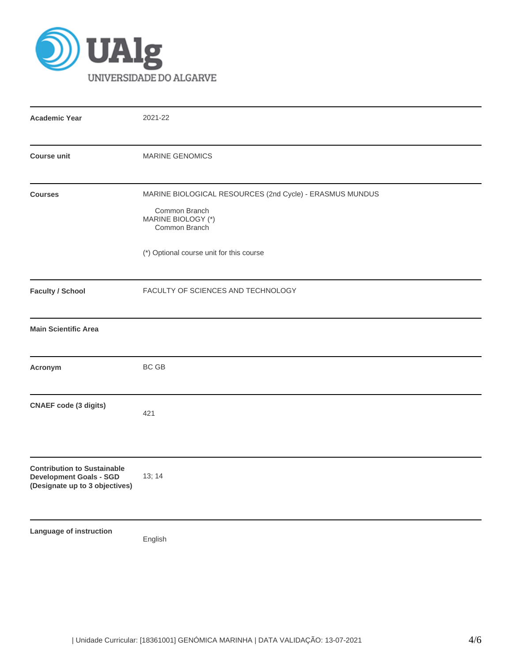

| <b>Academic Year</b>                                                                                   | 2021-22                                                                                                                                                      |  |  |  |  |  |
|--------------------------------------------------------------------------------------------------------|--------------------------------------------------------------------------------------------------------------------------------------------------------------|--|--|--|--|--|
| <b>Course unit</b>                                                                                     | <b>MARINE GENOMICS</b>                                                                                                                                       |  |  |  |  |  |
| <b>Courses</b>                                                                                         | MARINE BIOLOGICAL RESOURCES (2nd Cycle) - ERASMUS MUNDUS<br>Common Branch<br>MARINE BIOLOGY (*)<br>Common Branch<br>(*) Optional course unit for this course |  |  |  |  |  |
| <b>Faculty / School</b>                                                                                | FACULTY OF SCIENCES AND TECHNOLOGY                                                                                                                           |  |  |  |  |  |
| <b>Main Scientific Area</b>                                                                            |                                                                                                                                                              |  |  |  |  |  |
| Acronym                                                                                                | BC GB                                                                                                                                                        |  |  |  |  |  |
| <b>CNAEF code (3 digits)</b>                                                                           | 421                                                                                                                                                          |  |  |  |  |  |
| <b>Contribution to Sustainable</b><br><b>Development Goals - SGD</b><br>(Designate up to 3 objectives) | 13; 14                                                                                                                                                       |  |  |  |  |  |
| <b>Language of instruction</b>                                                                         | English                                                                                                                                                      |  |  |  |  |  |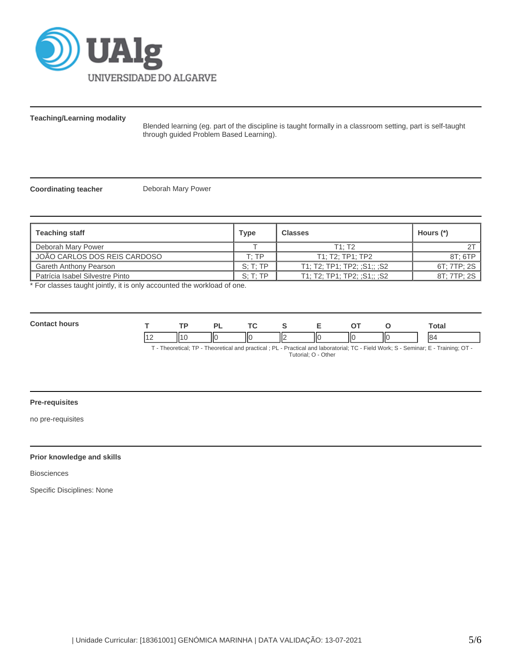

**Teaching/Learning modality**

Blended learning (eg. part of the discipline is taught formally in a classroom setting, part is self-taught through guided Problem Based Learning).

**Coordinating teacher** Deborah Mary Power

| <b>Teaching staff</b>           | Type                            | <b>Classes</b>              | Hours $(*)$ |
|---------------------------------|---------------------------------|-----------------------------|-------------|
| Deborah Mary Power              |                                 | $T1 \cdot T2$               |             |
| JOÃO CARLOS DOS REIS CARDOSO    | $\mathsf{T} \colon \mathsf{TP}$ | T1: T2: TP1: TP2            | 8T: 6TP     |
| Gareth Anthony Pearson          | S: T: TP                        | T1; T2; TP1; TP2; ;S1;; ;S2 | 6T: 7TP: 2S |
| Patrícia Isabel Silvestre Pinto | S: T: TP                        | T1: T2: TP1: TP2: :S1:: :S2 | 8T: 7TP: 2S |

\* For classes taught jointly, it is only accounted the workload of one.

| <b>Contact</b> | <b>TD</b> |   | $\sim$ |  |     | ⊺ota⊾                                                                                                                                                                                                                           |
|----------------|-----------|---|--------|--|-----|---------------------------------------------------------------------------------------------------------------------------------------------------------------------------------------------------------------------------------|
|                | -111      | ı |        |  | IІC | 84                                                                                                                                                                                                                              |
|                |           |   |        |  |     | $T$ . The contrast $TD$ . The contrast contrast of $D$ is $D$ and $D$ and the contrast $T$ $D$ . The HMA and $D$ $D$ $D$ and $D$ $T$ is $D$ $T$ is $D$ $T$ is $D$ $T$ is $D$ $T$ is $D$ $T$ is $D$ $T$ is $D$ $T$ is $D$ is $D$ |

T - Theoretical; TP - Theoretical and practical ; PL - Practical and laboratorial; TC - Field Work; S - Seminar; E - Training; OT - Tutorial; O - Other

# **Pre-requisites**

no pre-requisites

# **Prior knowledge and skills**

Biosciences

Specific Disciplines: None